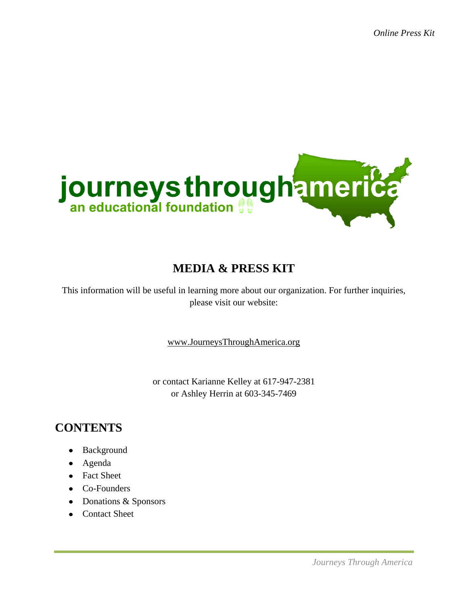

# **MEDIA & PRESS KIT**

This information will be useful in learning more about our organization. For further inquiries, please visit our website:

[www.JourneysThroughAmerica.org](http://www.journeysthroughamerica.org/)

or contact Karianne Kelley at 617-947-2381 or Ashley Herrin at 603-345-7469

# **CONTENTS**

- Background
- Agenda
- Fact Sheet
- Co-Founders
- Donations & Sponsors
- Contact Sheet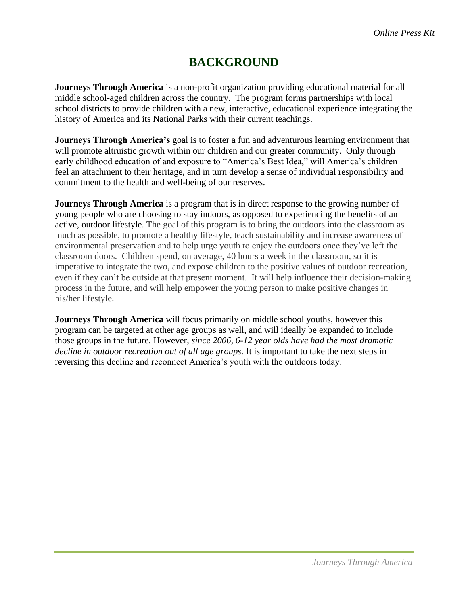# **BACKGROUND**

**Journeys Through America** is a non-profit organization providing educational material for all middle school-aged children across the country. The program forms partnerships with local school districts to provide children with a new, interactive, educational experience integrating the history of America and its National Parks with their current teachings.

**Journeys Through America's** goal is to foster a fun and adventurous learning environment that will promote altruistic growth within our children and our greater community. Only through early childhood education of and exposure to "America's Best Idea," will America's children feel an attachment to their heritage, and in turn develop a sense of individual responsibility and commitment to the health and well-being of our reserves.

**Journeys Through America** is a program that is in direct response to the growing number of young people who are choosing to stay indoors, as opposed to experiencing the benefits of an active, outdoor lifestyle. The goal of this program is to bring the outdoors into the classroom as much as possible, to promote a healthy lifestyle, teach sustainability and increase awareness of environmental preservation and to help urge youth to enjoy the outdoors once they've left the classroom doors. Children spend, on average, 40 hours a week in the classroom, so it is imperative to integrate the two, and expose children to the positive values of outdoor recreation, even if they can't be outside at that present moment. It will help influence their decision-making process in the future, and will help empower the young person to make positive changes in his/her lifestyle.

**Journeys Through America** will focus primarily on middle school youths, however this program can be targeted at other age groups as well, and will ideally be expanded to include those groups in the future. However, *since 2006, 6-12 year olds have had the most dramatic decline in outdoor recreation out of all age groups.* It is important to take the next steps in reversing this decline and reconnect America's youth with the outdoors today.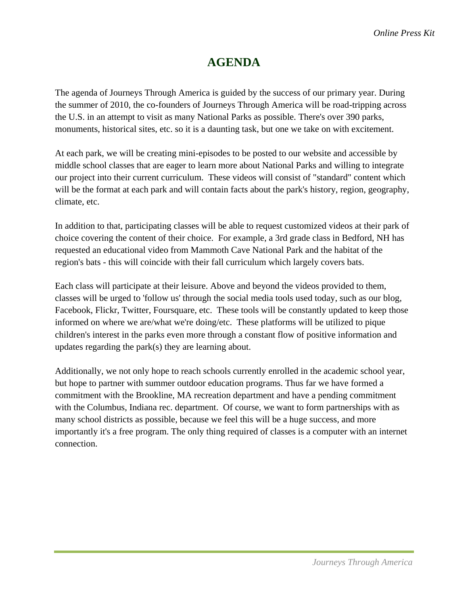## **AGENDA**

The agenda of Journeys Through America is guided by the success of our primary year. During the summer of 2010, the co-founders of Journeys Through America will be road-tripping across the U.S. in an attempt to visit as many National Parks as possible. There's over 390 parks, monuments, historical sites, etc. so it is a daunting task, but one we take on with excitement.

At each park, we will be creating mini-episodes to be posted to our website and accessible by middle school classes that are eager to learn more about National Parks and willing to integrate our project into their current curriculum. These videos will consist of "standard" content which will be the format at each park and will contain facts about the park's history, region, geography, climate, etc.

In addition to that, participating classes will be able to request customized videos at their park of choice covering the content of their choice. For example, a 3rd grade class in Bedford, NH has requested an educational video from Mammoth Cave National Park and the habitat of the region's bats - this will coincide with their fall curriculum which largely covers bats.

Each class will participate at their leisure. Above and beyond the videos provided to them, classes will be urged to 'follow us' through the social media tools used today, such as our blog, Facebook, Flickr, Twitter, Foursquare, etc. These tools will be constantly updated to keep those informed on where we are/what we're doing/etc. These platforms will be utilized to pique children's interest in the parks even more through a constant flow of positive information and updates regarding the park(s) they are learning about.

Additionally, we not only hope to reach schools currently enrolled in the academic school year, but hope to partner with summer outdoor education programs. Thus far we have formed a commitment with the Brookline, MA recreation department and have a pending commitment with the Columbus, Indiana rec. department. Of course, we want to form partnerships with as many school districts as possible, because we feel this will be a huge success, and more importantly it's a free program. The only thing required of classes is a computer with an internet connection.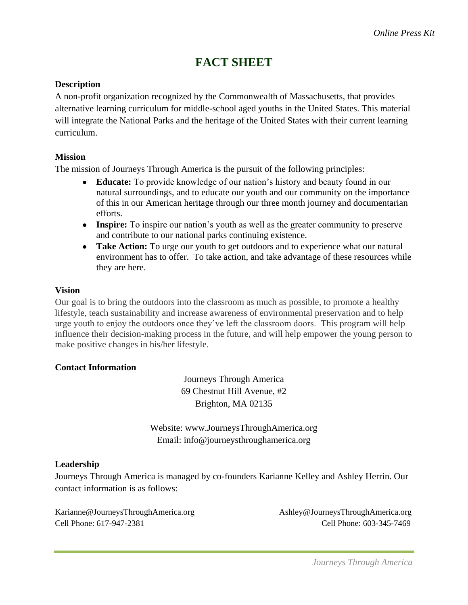### **FACT SHEET**

### **Description**

A non-profit organization recognized by the Commonwealth of Massachusetts, that provides alternative learning curriculum for middle-school aged youths in the United States. This material will integrate the National Parks and the heritage of the United States with their current learning curriculum.

### **Mission**

The mission of Journeys Through America is the pursuit of the following principles:

- **Educate:** To provide knowledge of our nation's history and beauty found in our natural surroundings, and to educate our youth and our community on the importance of this in our American heritage through our three month journey and documentarian efforts.
- **Inspire:** To inspire our nation's youth as well as the greater community to preserve and contribute to our national parks continuing existence.
- **Take Action:** To urge our youth to get outdoors and to experience what our natural environment has to offer. To take action, and take advantage of these resources while they are here.

#### **Vision**

Our goal is to bring the outdoors into the classroom as much as possible, to promote a healthy lifestyle, teach sustainability and increase awareness of environmental preservation and to help urge youth to enjoy the outdoors once they've left the classroom doors. This program will help influence their decision-making process in the future, and will help empower the young person to make positive changes in his/her lifestyle.

### **Contact Information**

Journeys Through America 69 Chestnut Hill Avenue, #2 Brighton, MA 02135

Website: www.JourneysThroughAmerica.org Email: info@journeysthroughamerica.org

### **Leadership**

Journeys Through America is managed by co-founders Karianne Kelley and Ashley Herrin. Our contact information is as follows:

Karianne@JourneysThroughAmerica.org Ashley@JourneysThroughAmerica.org Cell Phone: 617-947-2381 Cell Phone: 603-345-7469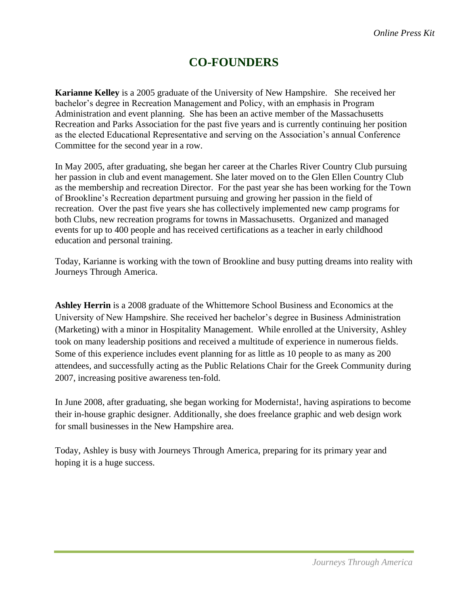### **CO-FOUNDERS**

**Karianne Kelley** is a 2005 graduate of the University of New Hampshire. She received her bachelor's degree in Recreation Management and Policy, with an emphasis in Program Administration and event planning. She has been an active member of the Massachusetts Recreation and Parks Association for the past five years and is currently continuing her position as the elected Educational Representative and serving on the Association's annual Conference Committee for the second year in a row.

In May 2005, after graduating, she began her career at the Charles River Country Club pursuing her passion in club and event management. She later moved on to the Glen Ellen Country Club as the membership and recreation Director. For the past year she has been working for the Town of Brookline's Recreation department pursuing and growing her passion in the field of recreation. Over the past five years she has collectively implemented new camp programs for both Clubs, new recreation programs for towns in Massachusetts. Organized and managed events for up to 400 people and has received certifications as a teacher in early childhood education and personal training.

Today, Karianne is working with the town of Brookline and busy putting dreams into reality with Journeys Through America.

**Ashley Herrin** is a 2008 graduate of the Whittemore School Business and Economics at the University of New Hampshire. She received her bachelor's degree in Business Administration (Marketing) with a minor in Hospitality Management. While enrolled at the University, Ashley took on many leadership positions and received a multitude of experience in numerous fields. Some of this experience includes event planning for as little as 10 people to as many as 200 attendees, and successfully acting as the Public Relations Chair for the Greek Community during 2007, increasing positive awareness ten-fold.

In June 2008, after graduating, she began working for Modernista!, having aspirations to become their in-house graphic designer. Additionally, she does freelance graphic and web design work for small businesses in the New Hampshire area.

Today, Ashley is busy with Journeys Through America, preparing for its primary year and hoping it is a huge success.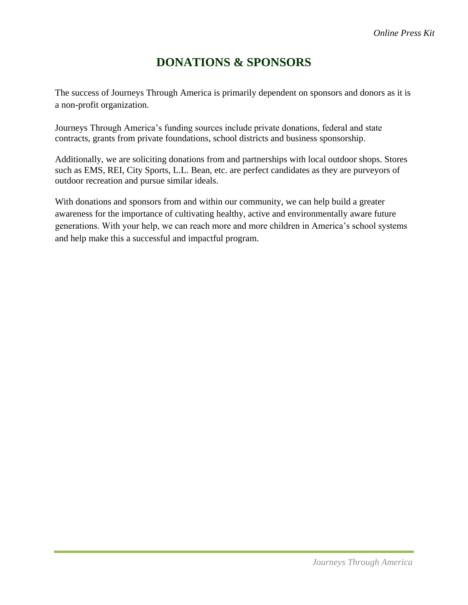## **DONATIONS & SPONSORS**

The success of Journeys Through America is primarily dependent on sponsors and donors as it is a non-profit organization.

Journeys Through America's funding sources include private donations, federal and state contracts, grants from private foundations, school districts and business sponsorship.

Additionally, we are soliciting donations from and partnerships with local outdoor shops. Stores such as EMS, REI, City Sports, L.L. Bean, etc. are perfect candidates as they are purveyors of outdoor recreation and pursue similar ideals.

With donations and sponsors from and within our community, we can help build a greater awareness for the importance of cultivating healthy, active and environmentally aware future generations. With your help, we can reach more and more children in America's school systems and help make this a successful and impactful program.